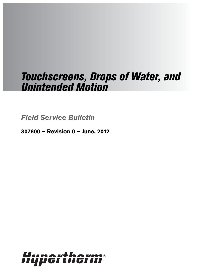# Touchscreens, Drops of Water, and Unintended Motion

**Field Service Bulletin**

**807600 – Revision 0 – June, 2012**

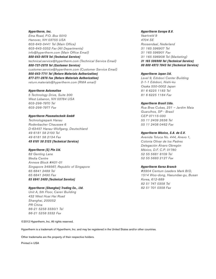### Hypertherm, Inc.

Etna Road, P.O. Box 5010 Hanover, NH 03755 USA 603-643-3441 Tel (Main Office) 603-643-5352 Fax (All Departments) info@hypertherm.com (Main Office Email) 800-643-9878 Tel (Technical Service) technical.service@hypertherm.com (Technical Service Email) 800-737-2978 Tel (Customer Service) customer.service@hypertherm.com (Customer Service Email) 866-643-7711 Tel (Return Materials Authorization) 877-371-2876 Fax (Return Materials Authorization) return.materials@hypertherm.com (RMA email)

### Hypertherm Automation

5 Technology Drive, Suite 300 West Lebanon, NH 03784 USA 603-298-7970 Tel 603-298-7977 Fax

### Hypertherm Plasmatechnik GmbH

Technologiepark Hanau Rodenbacher Chaussee 6 D-63457 Hanau-Wolfgang, Deutschland 49 6181 58 2100 Tel 49 6181 58 2134 Fax 49 6181 58 2123 (Technical Service)

### Hypertherm (S) Pte Ltd.

82 Genting Lane Media Centre Annexe Block #A01-01 Singapore 349567, Republic of Singapore 65 6841 2489 Tel 65 6841 2490 Fax 65 6841 2489 (Technical Service)

### Hypertherm (Shanghai) Trading Co., Ltd.

Unit A, 5th Floor, Careri Building 432 West Huai Hai Road Shanghai, 200052 PR China 86-21 5258 3330/1 Tel 86-21 5258 3332 Fax

©2012 Hypertherm, Inc. All rights reserved.

Hypertherm is a trademark of Hypertherm, Inc. and may be registered in the United States and/or other countries.

Other trademarks are the property of their respective holders.

Printed in USA

### Hypertherm Europe B.V.

Vaartveld 9 4704 SE Roosendaal, Nederland 31 165 596907 Tel 31 165 596901 Fax 31 165 596908 Tel (Marketing) 31 165 596900 Tel (Technical Service) 00 800 4973 7843 Tel (Technical Service)

### Hypertherm Japan Ltd.

Level 9, Edobori Center Building 2-1-1 Edobori, Nishi-ku Osaka 550-0002 Japan 81 6 6225 1183 Tel 81 6 6225 1184 Fax

### Hypertherm Brasil Ltda.

Rua Bras Cubas, 231 – Jardim Maia Guarulhos, SP - Brasil CEP 07115-030 55 11 2409 2636 Tel 55 11 2408 0462 Fax

### Hypertherm México, S.A. de C.V.

Avenida Toluca No. 444, Anexo 1, Colonia Olivar de los Padres Delegación Álvaro Obregón México, D.F. C.P. 01780 52 55 5681 8109 Tel 52 55 5683 2127 Fax

### Hypertherm Korea Branch

#3904 Centum Leaders Mark B/D, 1514 Woo-dong, Haeundae-gu, Busan Korea, 612-889 82 51 747 0358 Tel 82 51 701 0358 Fax